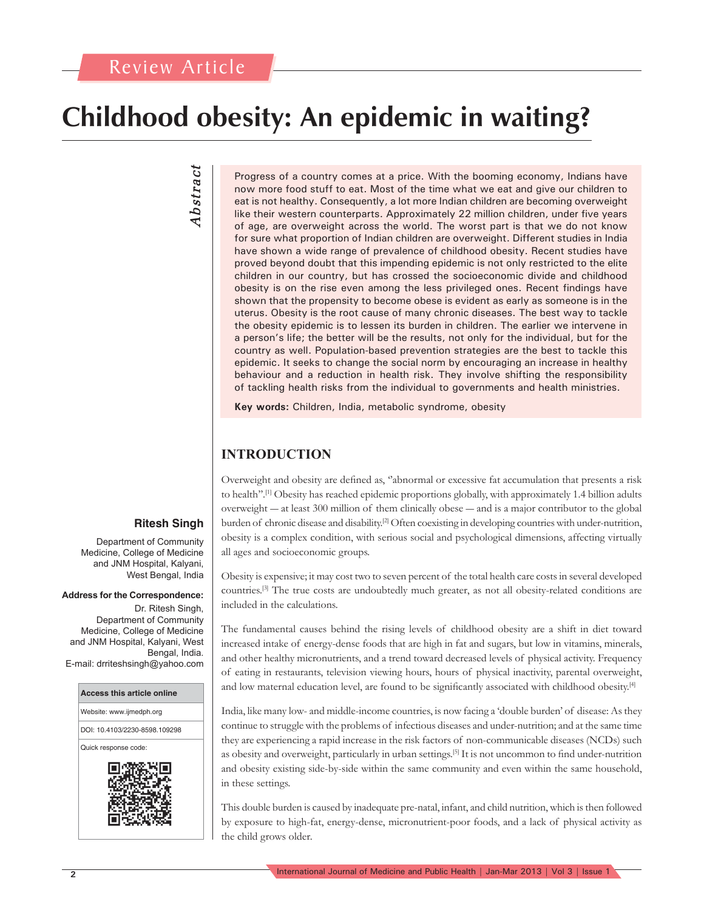# **Childhood obesity: An epidemic in waiting?**

Abstract *Abstract*

Progress of a country comes at a price. With the booming economy, Indians have now more food stuff to eat. Most of the time what we eat and give our children to eat is not healthy. Consequently, a lot more Indian children are becoming overweight like their western counterparts. Approximately 22 million children, under five years of age, are overweight across the world. The worst part is that we do not know for sure what proportion of Indian children are overweight. Different studies in India have shown a wide range of prevalence of childhood obesity. Recent studies have proved beyond doubt that this impending epidemic is not only restricted to the elite children in our country, but has crossed the socioeconomic divide and childhood obesity is on the rise even among the less privileged ones. Recent findings have shown that the propensity to become obese is evident as early as someone is in the uterus. Obesity is the root cause of many chronic diseases. The best way to tackle the obesity epidemic is to lessen its burden in children. The earlier we intervene in a person's life; the better will be the results, not only for the individual, but for the country as well. Population-based prevention strategies are the best to tackle this epidemic. It seeks to change the social norm by encouraging an increase in healthy behaviour and a reduction in health risk. They involve shifting the responsibility of tackling health risks from the individual to governments and health ministries.

**Key words:** Children, India, metabolic syndrome, obesity

# **INTRODUCTION**

Overweight and obesity are defined as, "abnormal or excessive fat accumulation that presents a risk to health''.[1] Obesity has reached epidemic proportions globally, with approximately 1.4 billion adults overweight ― at least 300 million of them clinically obese ― and is a major contributor to the global burden of chronic disease and disability.<sup>[2]</sup> Often coexisting in developing countries with under-nutrition, obesity is a complex condition, with serious social and psychological dimensions, affecting virtually all ages and socioeconomic groups.

Obesity is expensive; it may cost two to seven percent of the total health care costs in several developed countries.[3] The true costs are undoubtedly much greater, as not all obesity-related conditions are included in the calculations.

The fundamental causes behind the rising levels of childhood obesity are a shift in diet toward increased intake of energy-dense foods that are high in fat and sugars, but low in vitamins, minerals, and other healthy micronutrients, and a trend toward decreased levels of physical activity. Frequency of eating in restaurants, television viewing hours, hours of physical inactivity, parental overweight, and low maternal education level, are found to be significantly associated with childhood obesity.<sup>[4]</sup>

India, like many low- and middle-income countries, is now facing a 'double burden' of disease: As they continue to struggle with the problems of infectious diseases and under-nutrition; and at the same time they are experiencing a rapid increase in the risk factors of non-communicable diseases (NCDs) such as obesity and overweight, particularly in urban settings.<sup>[5]</sup> It is not uncommon to find under-nutrition and obesity existing side-by-side within the same community and even within the same household, in these settings.

This double burden is caused by inadequate pre-natal, infant, and child nutrition, which is then followed by exposure to high-fat, energy-dense, micronutrient-poor foods, and a lack of physical activity as the child grows older.

## **Ritesh Singh**

Department of Community Medicine, College of Medicine and JNM Hospital, Kalyani, West Bengal, India

#### **Address for the Correspondence:**

Dr. Ritesh Singh, Department of Community Medicine, College of Medicine and JNM Hospital, Kalyani, West Bengal, India. E-mail: drriteshsingh@yahoo.com

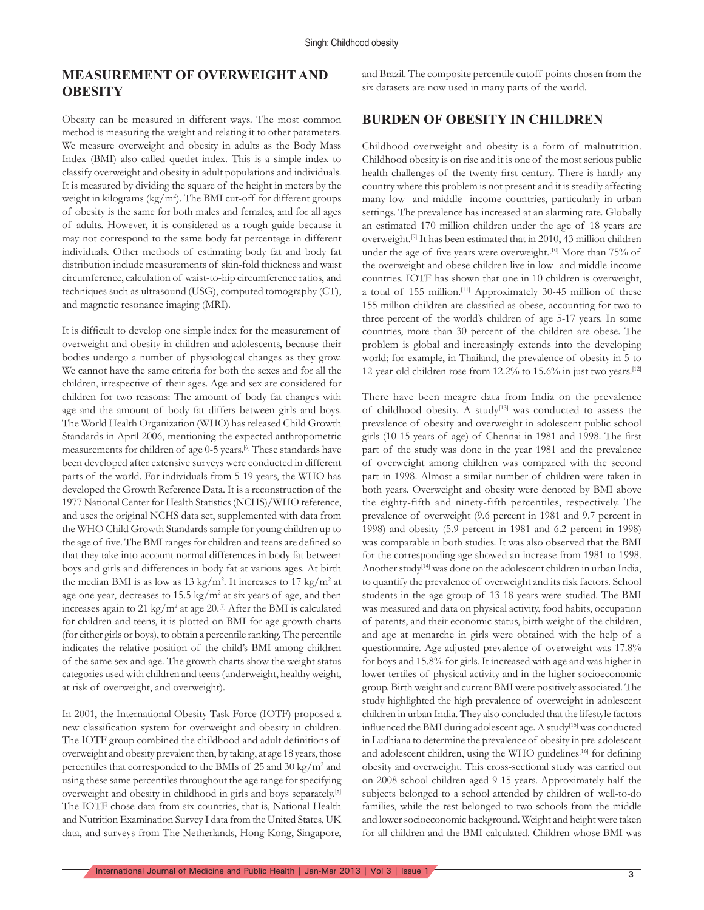# **MEASUREMENT OF OVERWEIGHT AND OBESITY**

Obesity can be measured in different ways. The most common method is measuring the weight and relating it to other parameters. We measure overweight and obesity in adults as the Body Mass Index (BMI) also called quetlet index. This is a simple index to classify overweight and obesity in adult populations and individuals. It is measured by dividing the square of the height in meters by the weight in kilograms (kg/m<sup>2</sup>). The BMI cut-off for different groups of obesity is the same for both males and females, and for all ages of adults. However, it is considered as a rough guide because it may not correspond to the same body fat percentage in different individuals. Other methods of estimating body fat and body fat distribution include measurements of skin-fold thickness and waist circumference, calculation of waist-to-hip circumference ratios, and techniques such as ultrasound (USG), computed tomography (CT), and magnetic resonance imaging (MRI).

It is difficult to develop one simple index for the measurement of overweight and obesity in children and adolescents, because their bodies undergo a number of physiological changes as they grow. We cannot have the same criteria for both the sexes and for all the children, irrespective of their ages. Age and sex are considered for children for two reasons: The amount of body fat changes with age and the amount of body fat differs between girls and boys. The World Health Organization (WHO) has released Child Growth Standards in April 2006, mentioning the expected anthropometric measurements for children of age 0-5 years.[6] These standards have been developed after extensive surveys were conducted in different parts of the world. For individuals from 5-19 years, the WHO has developed the Growth Reference Data. It is a reconstruction of the 1977 National Center for Health Statistics (NCHS)/WHO reference, and uses the original NCHS data set, supplemented with data from the WHO Child Growth Standards sample for young children up to the age of five. The BMI ranges for children and teens are defined so that they take into account normal differences in body fat between boys and girls and differences in body fat at various ages. At birth the median BMI is as low as 13 kg/m<sup>2</sup>. It increases to 17 kg/m<sup>2</sup> at age one year, decreases to  $15.5 \text{ kg/m}^2$  at six years of age, and then increases again to 21 kg/m<sup>2</sup> at age 20.<sup>[7]</sup> After the BMI is calculated for children and teens, it is plotted on BMI-for-age growth charts (for either girls or boys), to obtain a percentile ranking. The percentile indicates the relative position of the child's BMI among children of the same sex and age. The growth charts show the weight status categories used with children and teens (underweight, healthy weight, at risk of overweight, and overweight).

In 2001, the International Obesity Task Force (IOTF) proposed a new classification system for overweight and obesity in children. The IOTF group combined the childhood and adult definitions of overweight and obesity prevalent then, by taking, at age 18 years, those percentiles that corresponded to the BMIs of 25 and 30 kg/m<sup>2</sup> and using these same percentiles throughout the age range for specifying overweight and obesity in childhood in girls and boys separately.[8] The IOTF chose data from six countries, that is, National Health and Nutrition Examination Survey I data from the United States, UK data, and surveys from The Netherlands, Hong Kong, Singapore,

and Brazil. The composite percentile cutoff points chosen from the six datasets are now used in many parts of the world.

## **BURDEN OF OBESITY IN CHILDREN**

Childhood overweight and obesity is a form of malnutrition. Childhood obesity is on rise and it is one of the most serious public health challenges of the twenty-first century. There is hardly any country where this problem is not present and it is steadily affecting many low- and middle- income countries, particularly in urban settings. The prevalence has increased at an alarming rate. Globally an estimated 170 million children under the age of 18 years are overweight.[9] It has been estimated that in 2010, 43 million children under the age of five years were overweight.<sup>[10]</sup> More than 75% of the overweight and obese children live in low- and middle-income countries. IOTF has shown that one in 10 children is overweight, a total of 155 million.[11] Approximately 30-45 million of these 155 million children are classified as obese, accounting for two to three percent of the world's children of age 5-17 years. In some countries, more than 30 percent of the children are obese. The problem is global and increasingly extends into the developing world; for example, in Thailand, the prevalence of obesity in 5-to 12-year-old children rose from 12.2% to 15.6% in just two years.[12]

There have been meagre data from India on the prevalence of childhood obesity. A study<sup>[13]</sup> was conducted to assess the prevalence of obesity and overweight in adolescent public school girls (10-15 years of age) of Chennai in 1981 and 1998. The first part of the study was done in the year 1981 and the prevalence of overweight among children was compared with the second part in 1998. Almost a similar number of children were taken in both years. Overweight and obesity were denoted by BMI above the eighty-fifth and ninety-fifth percentiles, respectively. The prevalence of overweight (9.6 percent in 1981 and 9.7 percent in 1998) and obesity (5.9 percent in 1981 and 6.2 percent in 1998) was comparable in both studies. It was also observed that the BMI for the corresponding age showed an increase from 1981 to 1998. Another study<sup>[14]</sup> was done on the adolescent children in urban India, to quantify the prevalence of overweight and its risk factors. School students in the age group of 13-18 years were studied. The BMI was measured and data on physical activity, food habits, occupation of parents, and their economic status, birth weight of the children, and age at menarche in girls were obtained with the help of a questionnaire. Age-adjusted prevalence of overweight was 17.8% for boys and 15.8% for girls. It increased with age and was higher in lower tertiles of physical activity and in the higher socioeconomic group. Birth weight and current BMI were positively associated. The study highlighted the high prevalence of overweight in adolescent children in urban India. They also concluded that the lifestyle factors influenced the BMI during adolescent age. A study<sup>[15]</sup> was conducted in Ludhiana to determine the prevalence of obesity in pre-adolescent and adolescent children, using the WHO guidelines<sup>[16]</sup> for defining obesity and overweight. This cross-sectional study was carried out on 2008 school children aged 9-15 years. Approximately half the subjects belonged to a school attended by children of well-to-do families, while the rest belonged to two schools from the middle and lower socioeconomic background. Weight and height were taken for all children and the BMI calculated. Children whose BMI was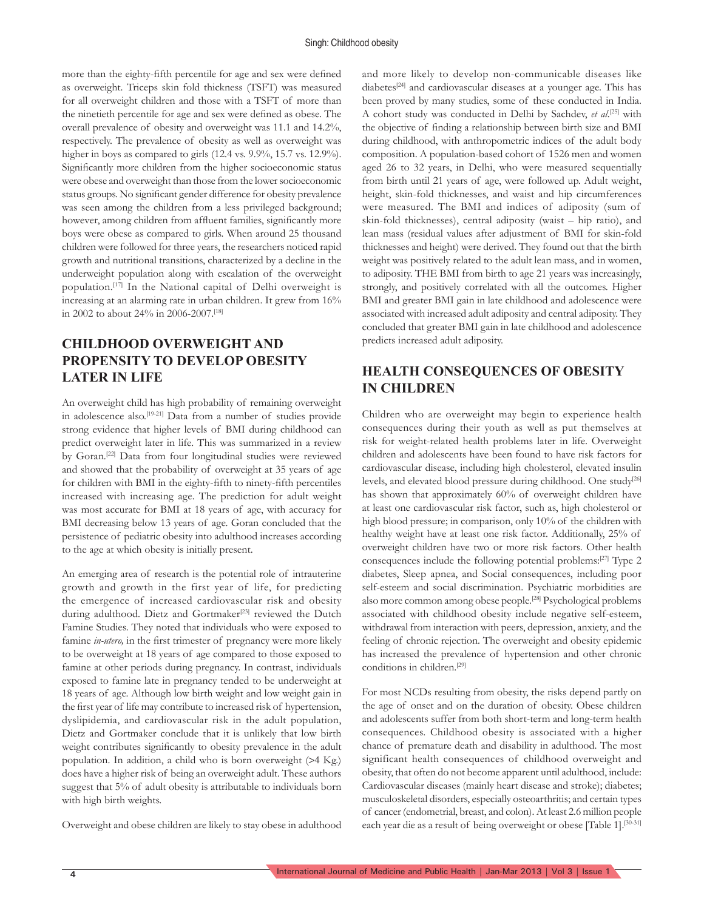more than the eighty-fifth percentile for age and sex were defined as overweight. Triceps skin fold thickness (TSFT) was measured for all overweight children and those with a TSFT of more than the ninetieth percentile for age and sex were defined as obese. The overall prevalence of obesity and overweight was 11.1 and 14.2%, respectively. The prevalence of obesity as well as overweight was higher in boys as compared to girls (12.4 vs. 9.9%, 15.7 vs. 12.9%). Significantly more children from the higher socioeconomic status were obese and overweight than those from the lower socioeconomic status groups. No significant gender difference for obesity prevalence was seen among the children from a less privileged background; however, among children from affluent families, significantly more boys were obese as compared to girls. When around 25 thousand children were followed for three years, the researchers noticed rapid growth and nutritional transitions, characterized by a decline in the underweight population along with escalation of the overweight population.[17] In the National capital of Delhi overweight is increasing at an alarming rate in urban children. It grew from  $16\%$ in 2002 to about 24% in 2006-2007.[18]

# **CHILDHOOD OVERWEIGHT AND PROPENSITY TO DEVELOP OBESITY LATER IN LIFE**

An overweight child has high probability of remaining overweight in adolescence also.<sup>[19-21]</sup> Data from a number of studies provide strong evidence that higher levels of BMI during childhood can predict overweight later in life. This was summarized in a review by Goran.<sup>[22]</sup> Data from four longitudinal studies were reviewed and showed that the probability of overweight at 35 years of age for children with BMI in the eighty-fifth to ninety-fifth percentiles increased with increasing age. The prediction for adult weight was most accurate for BMI at 18 years of age, with accuracy for BMI decreasing below 13 years of age. Goran concluded that the persistence of pediatric obesity into adulthood increases according to the age at which obesity is initially present.

An emerging area of research is the potential role of intrauterine growth and growth in the first year of life, for predicting the emergence of increased cardiovascular risk and obesity during adulthood. Dietz and Gortmaker<sup>[23]</sup> reviewed the Dutch Famine Studies. They noted that individuals who were exposed to famine *in-utero*, in the first trimester of pregnancy were more likely to be overweight at 18 years of age compared to those exposed to famine at other periods during pregnancy. In contrast, individuals exposed to famine late in pregnancy tended to be underweight at 18 years of age. Although low birth weight and low weight gain in the first year of life may contribute to increased risk of hypertension, dyslipidemia, and cardiovascular risk in the adult population, Dietz and Gortmaker conclude that it is unlikely that low birth weight contributes significantly to obesity prevalence in the adult population. In addition, a child who is born overweight (>4 Kg.) does have a higher risk of being an overweight adult. These authors suggest that 5% of adult obesity is attributable to individuals born with high birth weights.

Overweight and obese children are likely to stay obese in adulthood

and more likely to develop non-communicable diseases like diabetes<sup>[24]</sup> and cardiovascular diseases at a younger age. This has been proved by many studies, some of these conducted in India. A cohort study was conducted in Delhi by Sachdev, *et al*. [25] with the objective of finding a relationship between birth size and BMI during childhood, with anthropometric indices of the adult body composition. A population-based cohort of 1526 men and women aged 26 to 32 years, in Delhi, who were measured sequentially from birth until 21 years of age, were followed up. Adult weight, height, skin-fold thicknesses, and waist and hip circumferences were measured. The BMI and indices of adiposity (sum of skin-fold thicknesses), central adiposity (waist – hip ratio), and lean mass (residual values after adjustment of BMI for skin-fold thicknesses and height) were derived. They found out that the birth weight was positively related to the adult lean mass, and in women, to adiposity. THE BMI from birth to age 21 years was increasingly, strongly, and positively correlated with all the outcomes. Higher BMI and greater BMI gain in late childhood and adolescence were associated with increased adult adiposity and central adiposity. They concluded that greater BMI gain in late childhood and adolescence predicts increased adult adiposity.

# **HEALTH CONSEQUENCES OF OBESITY IN CHILDREN**

Children who are overweight may begin to experience health consequences during their youth as well as put themselves at risk for weight-related health problems later in life. Overweight children and adolescents have been found to have risk factors for cardiovascular disease, including high cholesterol, elevated insulin levels, and elevated blood pressure during childhood. One study<sup>[26]</sup> has shown that approximately 60% of overweight children have at least one cardiovascular risk factor, such as, high cholesterol or high blood pressure; in comparison, only 10% of the children with healthy weight have at least one risk factor. Additionally, 25% of overweight children have two or more risk factors. Other health consequences include the following potential problems:[27] Type 2 diabetes, Sleep apnea, and Social consequences, including poor self-esteem and social discrimination. Psychiatric morbidities are also more common among obese people.[28] Psychological problems associated with childhood obesity include negative self-esteem, withdrawal from interaction with peers, depression, anxiety, and the feeling of chronic rejection. The overweight and obesity epidemic has increased the prevalence of hypertension and other chronic conditions in children.[29]

For most NCDs resulting from obesity, the risks depend partly on the age of onset and on the duration of obesity. Obese children and adolescents suffer from both short-term and long-term health consequences. Childhood obesity is associated with a higher chance of premature death and disability in adulthood. The most significant health consequences of childhood overweight and obesity, that often do not become apparent until adulthood, include: Cardiovascular diseases (mainly heart disease and stroke); diabetes; musculoskeletal disorders, especially osteoarthritis; and certain types of cancer (endometrial, breast, and colon). At least 2.6 million people each year die as a result of being overweight or obese [Table 1].<sup>[30-31]</sup>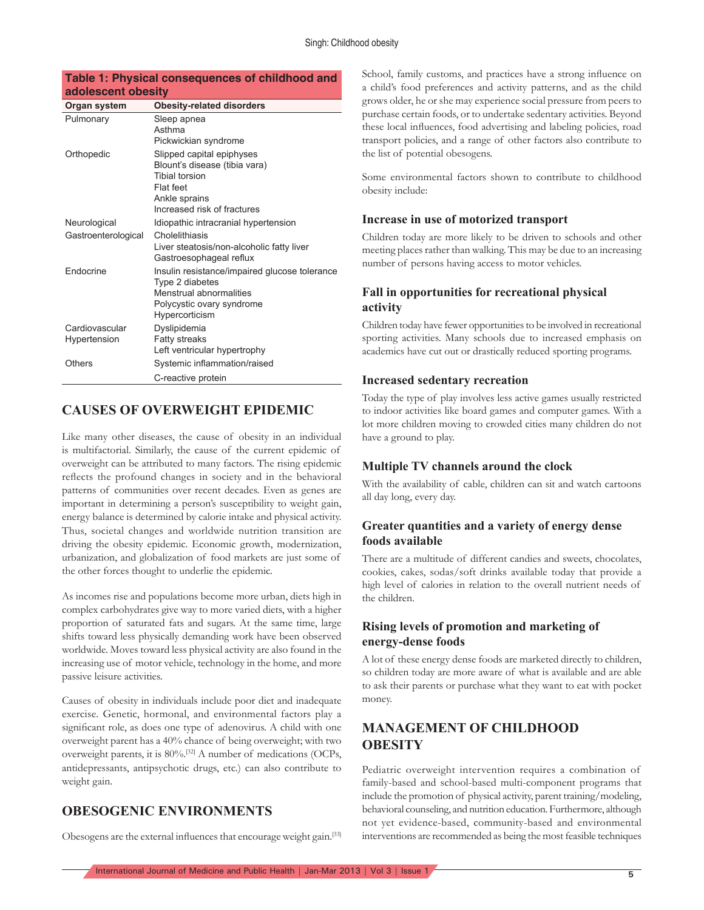#### **Table 1: Physical consequences of childhood and adolescent obesity**

| Organ system                   | <b>Obesity-related disorders</b>                                                                                                                 |
|--------------------------------|--------------------------------------------------------------------------------------------------------------------------------------------------|
| Pulmonary                      | Sleep apnea<br>Asthma<br>Pickwickian syndrome                                                                                                    |
| Orthopedic                     | Slipped capital epiphyses<br>Blount's disease (tibia vara)<br><b>Tibial torsion</b><br>Flat feet<br>Ankle sprains<br>Increased risk of fractures |
| Neurological                   | Idiopathic intracranial hypertension                                                                                                             |
| Gastroenterological            | Cholelithiasis<br>Liver steatosis/non-alcoholic fatty liver<br>Gastroesophageal reflux                                                           |
| Endocrine                      | Insulin resistance/impaired glucose tolerance<br>Type 2 diabetes<br>Menstrual abnormalities<br>Polycystic ovary syndrome<br>Hypercorticism       |
| Cardiovascular<br>Hypertension | Dyslipidemia<br><b>Fatty streaks</b><br>Left ventricular hypertrophy                                                                             |
| Others                         | Systemic inflammation/raised                                                                                                                     |
|                                | C-reactive protein                                                                                                                               |

# **CAUSES OF OVERWEIGHT EPIDEMIC**

Like many other diseases, the cause of obesity in an individual is multifactorial. Similarly, the cause of the current epidemic of overweight can be attributed to many factors. The rising epidemic reflects the profound changes in society and in the behavioral patterns of communities over recent decades. Even as genes are important in determining a person's susceptibility to weight gain, energy balance is determined by calorie intake and physical activity. Thus, societal changes and worldwide nutrition transition are driving the obesity epidemic. Economic growth, modernization, urbanization, and globalization of food markets are just some of the other forces thought to underlie the epidemic.

As incomes rise and populations become more urban, diets high in complex carbohydrates give way to more varied diets, with a higher proportion of saturated fats and sugars. At the same time, large shifts toward less physically demanding work have been observed worldwide. Moves toward less physical activity are also found in the increasing use of motor vehicle, technology in the home, and more passive leisure activities.

Causes of obesity in individuals include poor diet and inadequate exercise. Genetic, hormonal, and environmental factors play a significant role, as does one type of adenovirus. A child with one overweight parent has a 40% chance of being overweight; with two overweight parents, it is 80%.[32] A number of medications (OCPs, antidepressants, antipsychotic drugs, etc.) can also contribute to weight gain.

# **OBESOGENIC ENVIRONMENTS**

Obesogens are the external influences that encourage weight gain.<sup>[33]</sup>

School, family customs, and practices have a strong influence on a child's food preferences and activity patterns, and as the child grows older, he or she may experience social pressure from peers to purchase certain foods, or to undertake sedentary activities. Beyond these local influences, food advertising and labeling policies, road transport policies, and a range of other factors also contribute to the list of potential obesogens.

Some environmental factors shown to contribute to childhood obesity include:

#### **Increase in use of motorized transport**

Children today are more likely to be driven to schools and other meeting places rather than walking. This may be due to an increasing number of persons having access to motor vehicles.

## **Fall in opportunities for recreational physical activity**

Children today have fewer opportunities to be involved in recreational sporting activities. Many schools due to increased emphasis on academics have cut out or drastically reduced sporting programs.

#### **Increased sedentary recreation**

Today the type of play involves less active games usually restricted to indoor activities like board games and computer games. With a lot more children moving to crowded cities many children do not have a ground to play.

## **Multiple TV channels around the clock**

With the availability of cable, children can sit and watch cartoons all day long, every day.

## **Greater quantities and a variety of energy dense foods available**

There are a multitude of different candies and sweets, chocolates, cookies, cakes, sodas/soft drinks available today that provide a high level of calories in relation to the overall nutrient needs of the children.

## **Rising levels of promotion and marketing of energy-dense foods**

A lot of these energy dense foods are marketed directly to children, so children today are more aware of what is available and are able to ask their parents or purchase what they want to eat with pocket money.

# **MANAGEMENT OF CHILDHOOD OBESITY**

Pediatric overweight intervention requires a combination of family-based and school-based multi-component programs that include the promotion of physical activity, parent training/modeling, behavioral counseling, and nutrition education. Furthermore, although not yet evidence-based, community-based and environmental interventions are recommended as being the most feasible techniques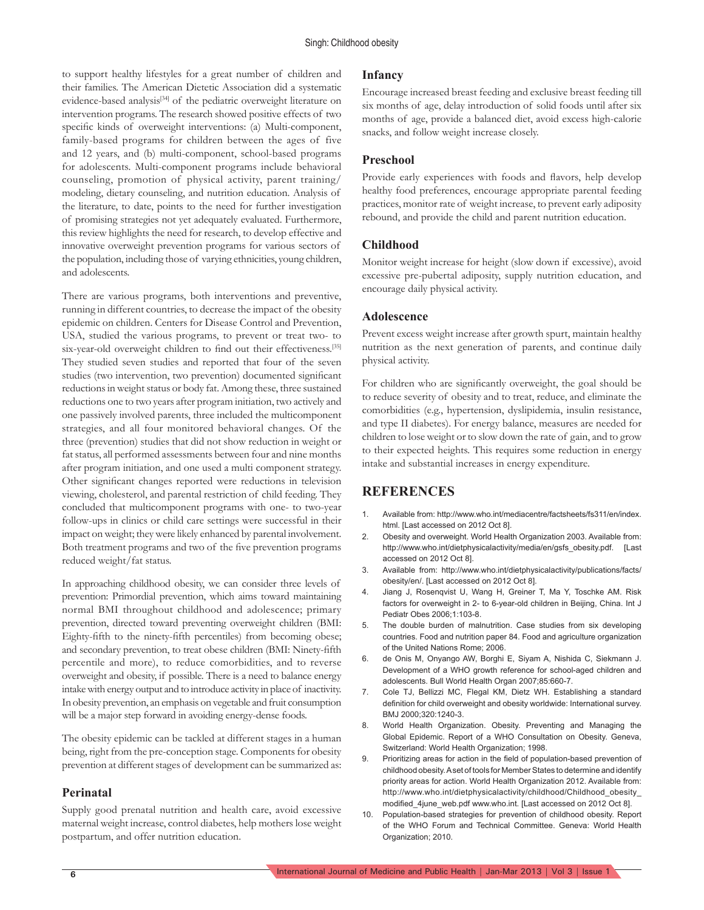to support healthy lifestyles for a great number of children and their families. The American Dietetic Association did a systematic evidence-based analysis<sup>[34]</sup> of the pediatric overweight literature on intervention programs. The research showed positive effects of two specific kinds of overweight interventions: (a) Multi-component, family-based programs for children between the ages of five and 12 years, and (b) multi-component, school-based programs for adolescents. Multi-component programs include behavioral counseling, promotion of physical activity, parent training/ modeling, dietary counseling, and nutrition education. Analysis of the literature, to date, points to the need for further investigation of promising strategies not yet adequately evaluated. Furthermore, this review highlights the need for research, to develop effective and innovative overweight prevention programs for various sectors of the population, including those of varying ethnicities, young children, and adolescents.

There are various programs, both interventions and preventive, running in different countries, to decrease the impact of the obesity epidemic on children. Centers for Disease Control and Prevention, USA, studied the various programs, to prevent or treat two- to six-year-old overweight children to find out their effectiveness.<sup>[35]</sup> They studied seven studies and reported that four of the seven studies (two intervention, two prevention) documented significant reductions in weight status or body fat. Among these, three sustained reductions one to two years after program initiation, two actively and one passively involved parents, three included the multicomponent strategies, and all four monitored behavioral changes. Of the three (prevention) studies that did not show reduction in weight or fat status, all performed assessments between four and nine months after program initiation, and one used a multi component strategy. Other significant changes reported were reductions in television viewing, cholesterol, and parental restriction of child feeding. They concluded that multicomponent programs with one- to two-year follow-ups in clinics or child care settings were successful in their impact on weight; they were likely enhanced by parental involvement. Both treatment programs and two of the five prevention programs reduced weight/fat status.

In approaching childhood obesity, we can consider three levels of prevention: Primordial prevention, which aims toward maintaining normal BMI throughout childhood and adolescence; primary prevention, directed toward preventing overweight children (BMI: Eighty-fifth to the ninety-fifth percentiles) from becoming obese; and secondary prevention, to treat obese children (BMI: Ninety-fifth percentile and more), to reduce comorbidities, and to reverse overweight and obesity, if possible. There is a need to balance energy intake with energy output and to introduce activity in place of inactivity. In obesity prevention, an emphasis on vegetable and fruit consumption will be a major step forward in avoiding energy-dense foods.

The obesity epidemic can be tackled at different stages in a human being, right from the pre-conception stage. Components for obesity prevention at different stages of development can be summarized as:

## **Perinatal**

Supply good prenatal nutrition and health care, avoid excessive maternal weight increase, control diabetes, help mothers lose weight postpartum, and offer nutrition education.

#### **Infancy**

Encourage increased breast feeding and exclusive breast feeding till six months of age, delay introduction of solid foods until after six months of age, provide a balanced diet, avoid excess high-calorie snacks, and follow weight increase closely.

## **Preschool**

Provide early experiences with foods and flavors, help develop healthy food preferences, encourage appropriate parental feeding practices, monitor rate of weight increase, to prevent early adiposity rebound, and provide the child and parent nutrition education.

## **Childhood**

Monitor weight increase for height (slow down if excessive), avoid excessive pre-pubertal adiposity, supply nutrition education, and encourage daily physical activity.

#### **Adolescence**

Prevent excess weight increase after growth spurt, maintain healthy nutrition as the next generation of parents, and continue daily physical activity.

For children who are significantly overweight, the goal should be to reduce severity of obesity and to treat, reduce, and eliminate the comorbidities (e.g., hypertension, dyslipidemia, insulin resistance, and type II diabetes). For energy balance, measures are needed for children to lose weight or to slow down the rate of gain, and to grow to their expected heights. This requires some reduction in energy intake and substantial increases in energy expenditure.

# **REFERENCES**

- 1. Available from: http://www.who.int/mediacentre/factsheets/fs311/en/index. html. [Last accessed on 2012 Oct 8].
- 2. Obesity and overweight. World Health Organization 2003. Available from: http://www.who.int/dietphysicalactivity/media/en/gsfs\_obesity.pdf. [Last accessed on 2012 Oct 8].
- 3. Available from: http://www.who.int/dietphysicalactivity/publications/facts/ obesity/en/. [Last accessed on 2012 Oct 8].
- 4. Jiang J, Rosenqvist U, Wang H, Greiner T, Ma Y, Toschke AM. Risk factors for overweight in 2- to 6-year-old children in Beijing, China. Int J Pediatr Obes 2006;1:103-8.
- 5. The double burden of malnutrition. Case studies from six developing countries. Food and nutrition paper 84. Food and agriculture organization of the United Nations Rome; 2006.
- 6. de Onis M, Onyango AW, Borghi E, Siyam A, Nishida C, Siekmann J. Development of a WHO growth reference for school-aged children and adolescents. Bull World Health Organ 2007;85:660-7.
- 7. Cole TJ, Bellizzi MC, Flegal KM, Dietz WH. Establishing a standard definition for child overweight and obesity worldwide: International survey. BMJ 2000;320:1240-3.
- 8. World Health Organization. Obesity. Preventing and Managing the Global Epidemic. Report of a WHO Consultation on Obesity. Geneva, Switzerland: World Health Organization; 1998.
- 9. Prioritizing areas for action in the field of population-based prevention of childhood obesity. A set of tools for Member States to determine and identify priority areas for action. World Health Organization 2012. Available from: http://www.who.int/dietphysicalactivity/childhood/Childhood\_obesity\_ modified\_4june\_web.pdf www.who.int. [Last accessed on 2012 Oct 8].
- 10. Population-based strategies for prevention of childhood obesity. Report of the WHO Forum and Technical Committee. Geneva: World Health Organization; 2010.